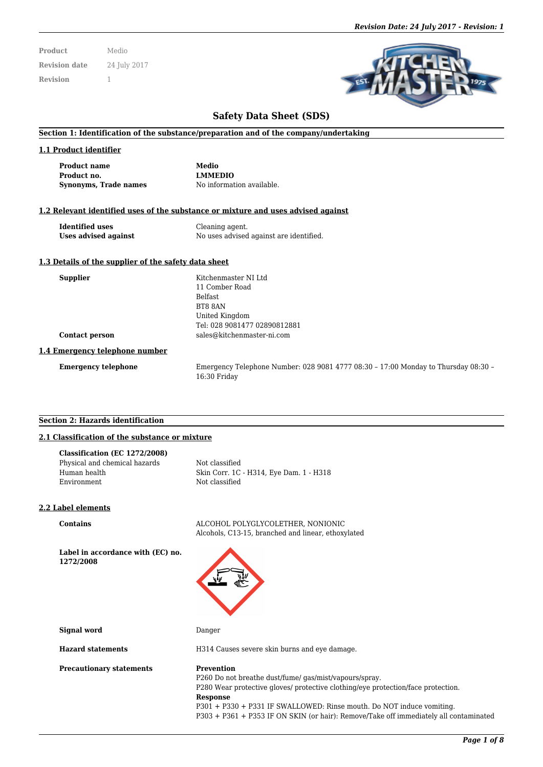| <b>Product</b>       | Medio        |
|----------------------|--------------|
| <b>Revision date</b> | 24 July 2017 |
| <b>Revision</b>      |              |



# **Safety Data Sheet (SDS)**

#### **Section 1: Identification of the substance/preparation and of the company/undertaking**

#### **1.1 Product identifier**

| <b>Product name</b>   |  |
|-----------------------|--|
| Product no.           |  |
| Synonyms, Trade names |  |

**Medio Product no. LMMEDIO** No information available.

#### **1.2 Relevant identified uses of the substance or mixture and uses advised against**

**Identified uses** Cleaning agent.<br> **Uses advised against** No uses advised **Uses advised against** No uses advised against are identified.

#### **1.3 Details of the supplier of the safety data sheet**

| <b>Supplier</b>                | Kitchenmaster NI Ltd                                                               |
|--------------------------------|------------------------------------------------------------------------------------|
|                                | 11 Comber Road                                                                     |
|                                | <b>Belfast</b>                                                                     |
|                                | BT8 8AN                                                                            |
|                                | United Kingdom                                                                     |
|                                | Tel: 028 9081477 02890812881                                                       |
| <b>Contact person</b>          | sales@kitchenmaster-ni.com                                                         |
| 1.4 Emergency telephone number |                                                                                    |
| <b>Emergency telephone</b>     | Emergency Telephone Number: 028 9081 4777 08:30 - 17:00 Monday to Thursday 08:30 - |

16:30 Friday

#### **Section 2: Hazards identification**

# **2.1 Classification of the substance or mixture**

| Not classified                          |
|-----------------------------------------|
| Skin Corr. 1C - H314, Eye Dam. 1 - H318 |
| Not classified                          |
|                                         |

#### **2.2 Label elements**

**Contains** ALCOHOL POLYGLYCOLETHER, NONIONIC Alcohols, C13-15, branched and linear, ethoxylated

**Label in accordance with (EC) no. 1272/2008**



**Signal word** Danger

**Precautionary statements Prevention** 

**Hazard statements H314 Causes severe skin burns and eye damage.** 

P260 Do not breathe dust/fume/ gas/mist/vapours/spray. P280 Wear protective gloves/ protective clothing/eye protection/face protection. **Response** P301 + P330 + P331 IF SWALLOWED: Rinse mouth. Do NOT induce vomiting. P303 + P361 + P353 IF ON SKIN (or hair): Remove/Take off immediately all contaminated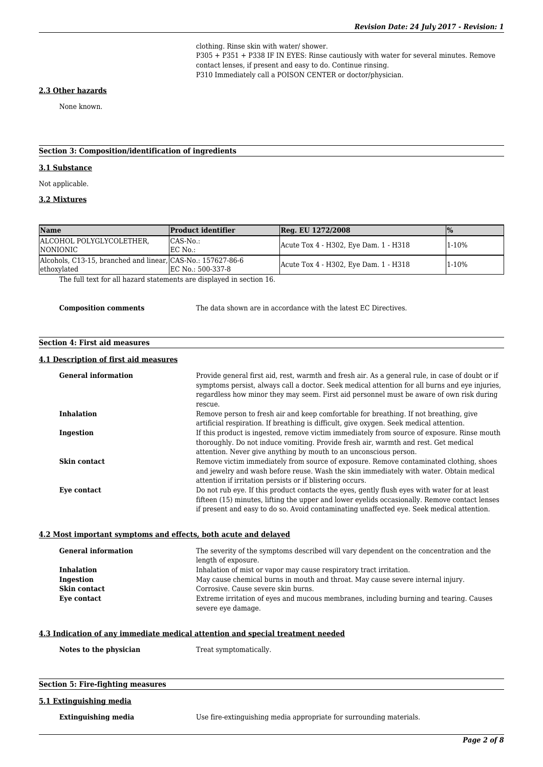clothing. Rinse skin with water/ shower. P305 + P351 + P338 IF IN EYES: Rinse cautiously with water for several minutes. Remove contact lenses, if present and easy to do. Continue rinsing. P310 Immediately call a POISON CENTER or doctor/physician.

## **2.3 Other hazards**

None known.

# **Section 3: Composition/identification of ingredients**

#### **3.1 Substance**

Not applicable.

## **3.2 Mixtures**

| <b>Name</b>                                                                | <b>Product identifier</b> | <b>Reg. EU 1272/2008</b>              | $\frac{1}{2}$ |
|----------------------------------------------------------------------------|---------------------------|---------------------------------------|---------------|
| ALCOHOL POLYGLYCOLETHER.<br><i>INONIONIC</i>                               | CAS-No.:<br>EC No.:       | Acute Tox 4 - H302, Eye Dam. 1 - H318 | 1-10%         |
| Alcohols, C13-15, branched and linear, CAS-No.: 157627-86-6<br>ethoxylated | EC No.: 500-337-8         | Acute Tox 4 - H302, Eye Dam. 1 - H318 | 1-10%         |

The full text for all hazard statements are displayed in section 16.

**Composition comments** The data shown are in accordance with the latest EC Directives.

# **Section 4: First aid measures**

#### **4.1 Description of first aid measures**

| <b>General information</b> | Provide general first aid, rest, warmth and fresh air. As a general rule, in case of doubt or if<br>symptoms persist, always call a doctor. Seek medical attention for all burns and eye injuries,<br>regardless how minor they may seem. First aid personnel must be aware of own risk during<br>rescue. |
|----------------------------|-----------------------------------------------------------------------------------------------------------------------------------------------------------------------------------------------------------------------------------------------------------------------------------------------------------|
| <b>Inhalation</b>          | Remove person to fresh air and keep comfortable for breathing. If not breathing, give<br>artificial respiration. If breathing is difficult, give oxygen. Seek medical attention.                                                                                                                          |
| Ingestion                  | If this product is ingested, remove victim immediately from source of exposure. Rinse mouth<br>thoroughly. Do not induce vomiting. Provide fresh air, warmth and rest. Get medical<br>attention. Never give anything by mouth to an unconscious person.                                                   |
| Skin contact               | Remove victim immediately from source of exposure. Remove contaminated clothing, shoes<br>and jewelry and wash before reuse. Wash the skin immediately with water. Obtain medical<br>attention if irritation persists or if blistering occurs.                                                            |
| Eye contact                | Do not rub eye. If this product contacts the eyes, gently flush eyes with water for at least<br>fifteen (15) minutes, lifting the upper and lower eyelids occasionally. Remove contact lenses<br>if present and easy to do so. Avoid contaminating unaffected eye. Seek medical attention.                |

# **4.2 Most important symptoms and effects, both acute and delayed**

| <b>General information</b> | The severity of the symptoms described will vary dependent on the concentration and the |  |
|----------------------------|-----------------------------------------------------------------------------------------|--|
|                            | length of exposure.                                                                     |  |
| <b>Inhalation</b>          | Inhalation of mist or vapor may cause respiratory tract irritation.                     |  |
| Ingestion                  | May cause chemical burns in mouth and throat. May cause severe internal injury.         |  |
| Skin contact               | Corrosive. Cause severe skin burns.                                                     |  |
| Eye contact                | Extreme irritation of eyes and mucous membranes, including burning and tearing. Causes  |  |
|                            | severe eye damage.                                                                      |  |

### **4.3 Indication of any immediate medical attention and special treatment needed**

**Notes to the physician** Treat symptomatically.

# **Section 5: Fire-fighting measures**

# **5.1 Extinguishing media**

**Extinguishing media** Use fire-extinguishing media appropriate for surrounding materials.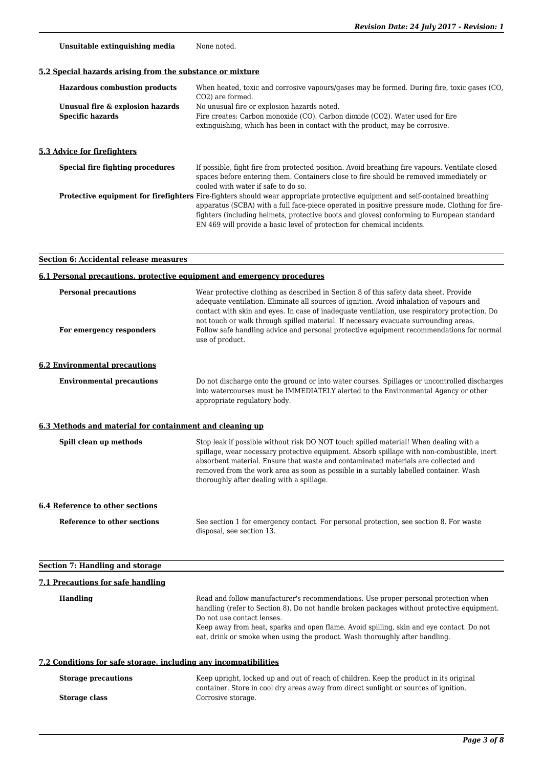Unsuitable extinguishing media None noted.

# **5.2 Special hazards arising from the substance or mixture**

| <b>Hazardous combustion products</b><br>Unusual fire & explosion hazards<br><b>Specific hazards</b> | When heated, toxic and corrosive vapours/gases may be formed. During fire, toxic gases (CO,<br>CO <sub>2</sub> ) are formed.<br>No unusual fire or explosion hazards noted.<br>Fire creates: Carbon monoxide (CO). Carbon dioxide (CO2). Water used for fire<br>extinguishing, which has been in contact with the product, may be corrosive.                                                                   |
|-----------------------------------------------------------------------------------------------------|----------------------------------------------------------------------------------------------------------------------------------------------------------------------------------------------------------------------------------------------------------------------------------------------------------------------------------------------------------------------------------------------------------------|
| 5.3 Advice for firefighters                                                                         |                                                                                                                                                                                                                                                                                                                                                                                                                |
| Special fire fighting procedures                                                                    | If possible, fight fire from protected position. Avoid breathing fire vapours. Ventilate closed<br>spaces before entering them. Containers close to fire should be removed immediately or<br>cooled with water if safe to do so.                                                                                                                                                                               |
|                                                                                                     | <b>Protective equipment for firefighters</b> Fire-fighters should wear appropriate protective equipment and self-contained breathing<br>apparatus (SCBA) with a full face-piece operated in positive pressure mode. Clothing for fire-<br>fighters (including helmets, protective boots and gloves) conforming to European standard<br>EN 469 will provide a basic level of protection for chemical incidents. |

# **Section 6: Accidental release measures**

| 6.1 Personal precautions, protective equipment and emergency procedures |                                                                                                                                                                                                                                                                                                                                                                                                                                                                                           |  |
|-------------------------------------------------------------------------|-------------------------------------------------------------------------------------------------------------------------------------------------------------------------------------------------------------------------------------------------------------------------------------------------------------------------------------------------------------------------------------------------------------------------------------------------------------------------------------------|--|
| <b>Personal precautions</b><br>For emergency responders                 | Wear protective clothing as described in Section 8 of this safety data sheet. Provide<br>adequate ventilation. Eliminate all sources of ignition. Avoid inhalation of vapours and<br>contact with skin and eyes. In case of inadequate ventilation, use respiratory protection. Do<br>not touch or walk through spilled material. If necessary evacuate surrounding areas.<br>Follow safe handling advice and personal protective equipment recommendations for normal<br>use of product. |  |
| <b>6.2 Environmental precautions</b>                                    |                                                                                                                                                                                                                                                                                                                                                                                                                                                                                           |  |
| <b>Environmental precautions</b>                                        | Do not discharge onto the ground or into water courses. Spillages or uncontrolled discharges<br>into watercourses must be IMMEDIATELY alerted to the Environmental Agency or other<br>appropriate regulatory body.                                                                                                                                                                                                                                                                        |  |
| 6.3 Methods and material for containment and cleaning up                |                                                                                                                                                                                                                                                                                                                                                                                                                                                                                           |  |
| Spill clean up methods                                                  | Stop leak if possible without risk DO NOT touch spilled material! When dealing with a<br>spillage, wear necessary protective equipment. Absorb spillage with non-combustible, inert<br>absorbent material. Ensure that waste and contaminated materials are collected and<br>removed from the work area as soon as possible in a suitably labelled container. Wash<br>thoroughly after dealing with a spillage.                                                                           |  |
| <b>6.4 Reference to other sections</b>                                  |                                                                                                                                                                                                                                                                                                                                                                                                                                                                                           |  |
| Reference to other sections                                             | See section 1 for emergency contact. For personal protection, see section 8. For waste<br>disposal, see section 13.                                                                                                                                                                                                                                                                                                                                                                       |  |
| <b>Section 7: Handling and storage</b>                                  |                                                                                                                                                                                                                                                                                                                                                                                                                                                                                           |  |
| 7.1 Precautions for safe handling                                       |                                                                                                                                                                                                                                                                                                                                                                                                                                                                                           |  |
| <b>Handling</b>                                                         | Read and follow manufacturer's recommendations. Use proper personal protection when<br>handling (refer to Section 8). Do not handle broken packages without protective equipment.<br>Do not use contact lenses.<br>Keep away from heat, sparks and open flame. Avoid spilling, skin and eye contact. Do not<br>eat, drink or smoke when using the product. Wash thoroughly after handling.                                                                                                |  |
| 7.2 Conditions for safe storage, including any incompatibilities        |                                                                                                                                                                                                                                                                                                                                                                                                                                                                                           |  |

| <b>Storage precautions</b> | Keep upright, locked up and out of reach of children. Keep the product in its original                     |
|----------------------------|------------------------------------------------------------------------------------------------------------|
| Storage class              | container. Store in cool dry areas away from direct sunlight or sources of ignition.<br>Corrosive storage. |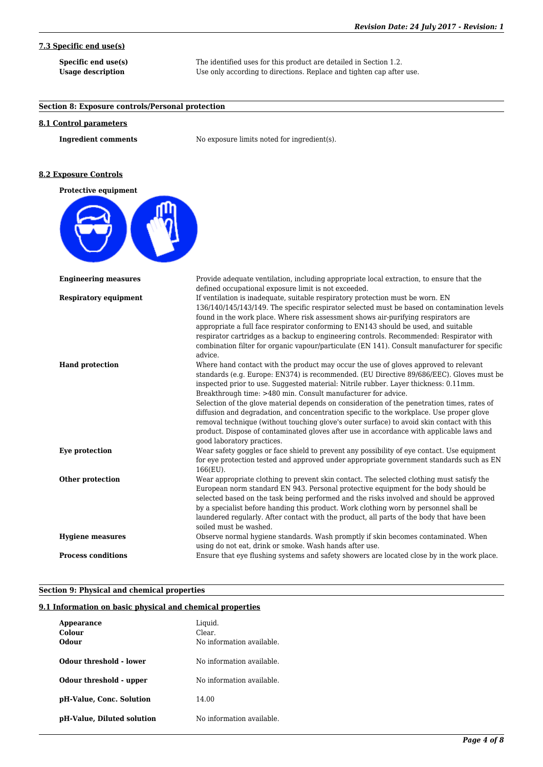# **7.3 Specific end use(s)**

**Specific end use(s)** The identified uses for this product are detailed in Section 1.2. **Usage description** Use only according to directions. Replace and tighten cap after use.

| Section 8: Exposure controls/Personal protection |                                                                                                                                                                                                                                                                                                                                                                                                                                                                                                                                                                                                                                                                                                                                                              |
|--------------------------------------------------|--------------------------------------------------------------------------------------------------------------------------------------------------------------------------------------------------------------------------------------------------------------------------------------------------------------------------------------------------------------------------------------------------------------------------------------------------------------------------------------------------------------------------------------------------------------------------------------------------------------------------------------------------------------------------------------------------------------------------------------------------------------|
| <b>8.1 Control parameters</b>                    |                                                                                                                                                                                                                                                                                                                                                                                                                                                                                                                                                                                                                                                                                                                                                              |
| <b>Ingredient comments</b>                       | No exposure limits noted for ingredient(s).                                                                                                                                                                                                                                                                                                                                                                                                                                                                                                                                                                                                                                                                                                                  |
| <b>8.2 Exposure Controls</b>                     |                                                                                                                                                                                                                                                                                                                                                                                                                                                                                                                                                                                                                                                                                                                                                              |
| <b>Protective equipment</b>                      |                                                                                                                                                                                                                                                                                                                                                                                                                                                                                                                                                                                                                                                                                                                                                              |
|                                                  |                                                                                                                                                                                                                                                                                                                                                                                                                                                                                                                                                                                                                                                                                                                                                              |
| <b>Engineering measures</b>                      | Provide adequate ventilation, including appropriate local extraction, to ensure that the<br>defined occupational exposure limit is not exceeded.                                                                                                                                                                                                                                                                                                                                                                                                                                                                                                                                                                                                             |
| <b>Respiratory equipment</b>                     | If ventilation is inadequate, suitable respiratory protection must be worn. EN<br>136/140/145/143/149. The specific respirator selected must be based on contamination levels<br>found in the work place. Where risk assessment shows air-purifying respirators are<br>appropriate a full face respirator conforming to EN143 should be used, and suitable<br>respirator cartridges as a backup to engineering controls. Recommended: Respirator with<br>combination filter for organic vapour/particulate (EN 141). Consult manufacturer for specific<br>advice.                                                                                                                                                                                            |
| <b>Hand protection</b>                           | Where hand contact with the product may occur the use of gloves approved to relevant<br>standards (e.g. Europe: EN374) is recommended. (EU Directive 89/686/EEC). Gloves must be<br>inspected prior to use. Suggested material: Nitrile rubber. Layer thickness: 0.11mm.<br>Breakthrough time: >480 min. Consult manufacturer for advice.<br>Selection of the glove material depends on consideration of the penetration times, rates of<br>diffusion and degradation, and concentration specific to the workplace. Use proper glove<br>removal technique (without touching glove's outer surface) to avoid skin contact with this<br>product. Dispose of contaminated gloves after use in accordance with applicable laws and<br>good laboratory practices. |
| Eye protection                                   | Wear safety goggles or face shield to prevent any possibility of eye contact. Use equipment<br>for eye protection tested and approved under appropriate government standards such as EN<br>$166$ (EU).                                                                                                                                                                                                                                                                                                                                                                                                                                                                                                                                                       |
| Other protection                                 | Wear appropriate clothing to prevent skin contact. The selected clothing must satisfy the<br>European norm standard EN 943. Personal protective equipment for the body should be<br>selected based on the task being performed and the risks involved and should be approved<br>by a specialist before handing this product. Work clothing worn by personnel shall be<br>laundered regularly. After contact with the product, all parts of the body that have been<br>soiled must be washed.                                                                                                                                                                                                                                                                 |
| <b>Hygiene measures</b>                          | Observe normal hygiene standards. Wash promptly if skin becomes contaminated. When<br>using do not eat, drink or smoke. Wash hands after use.                                                                                                                                                                                                                                                                                                                                                                                                                                                                                                                                                                                                                |
| <b>Process conditions</b>                        | Ensure that eye flushing systems and safety showers are located close by in the work place.                                                                                                                                                                                                                                                                                                                                                                                                                                                                                                                                                                                                                                                                  |

# **Section 9: Physical and chemical properties**

# **9.1 Information on basic physical and chemical properties**

| Appearance                 | Liquid.                   |
|----------------------------|---------------------------|
| Colour                     | Clear.                    |
| Odour                      | No information available. |
|                            |                           |
| Odour threshold - lower    | No information available. |
|                            |                           |
| Odour threshold - upper    | No information available. |
|                            | 14.00                     |
| pH-Value, Conc. Solution   |                           |
| pH-Value, Diluted solution | No information available. |
|                            |                           |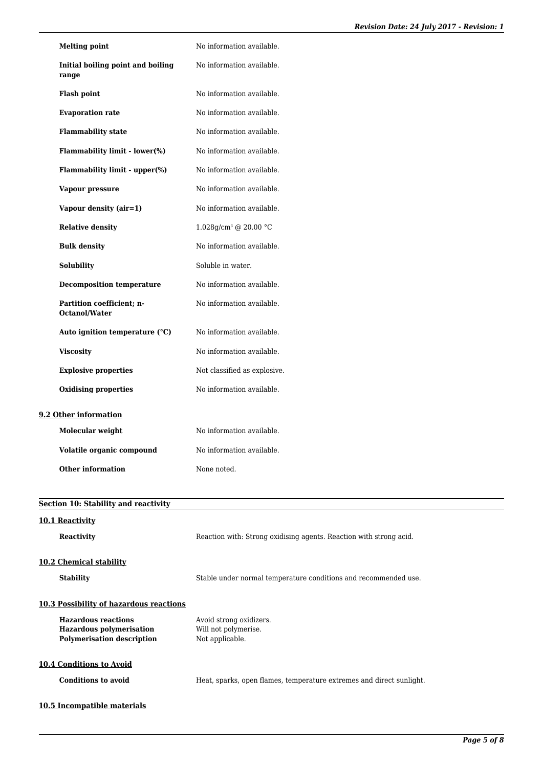| <b>Melting point</b>                       | No information available.         |
|--------------------------------------------|-----------------------------------|
| Initial boiling point and boiling<br>range | No information available.         |
| <b>Flash point</b>                         | No information available.         |
| <b>Evaporation rate</b>                    | No information available.         |
| <b>Flammability state</b>                  | No information available.         |
| Flammability limit - lower(%)              | No information available.         |
| Flammability limit - upper(%)              | No information available.         |
| Vapour pressure                            | No information available.         |
| Vapour density (air=1)                     | No information available.         |
| <b>Relative density</b>                    | 1.028g/cm <sup>3</sup> @ 20.00 °C |
| <b>Bulk density</b>                        | No information available.         |
| <b>Solubility</b>                          | Soluble in water.                 |
| <b>Decomposition temperature</b>           | No information available.         |
| Partition coefficient; n-<br>Octanol/Water | No information available.         |
| Auto ignition temperature (°C)             | No information available.         |
| <b>Viscosity</b>                           | No information available.         |
| <b>Explosive properties</b>                | Not classified as explosive.      |
| <b>Oxidising properties</b>                | No information available.         |
| 9.2 Other information                      |                                   |
| <b>Molecular weight</b>                    | No information available.         |
| Volatile organic compound                  | No information available.         |
| <b>Other information</b>                   | None noted.                       |
|                                            |                                   |
| Section 10: Stability and reactivity       |                                   |

# **10.1 Reactivity**

| <b>Reactivity</b> |
|-------------------|
|                   |

Reaction with: Strong oxidising agents. Reaction with strong acid.

# **10.2 Chemical stability**

**Stability** Stable under normal temperature conditions and recommended use.

# **10.3 Possibility of hazardous reactions**

| <b>Hazardous reactions</b>        | Avoid strong oxidizers. |
|-----------------------------------|-------------------------|
| <b>Hazardous polymerisation</b>   | Will not polymerise.    |
| <b>Polymerisation description</b> | Not applicable.         |
|                                   |                         |

# **10.4 Conditions to Avoid**

**Conditions to avoid Heat**, sparks, open flames, temperature extremes and direct sunlight.

# **10.5 Incompatible materials**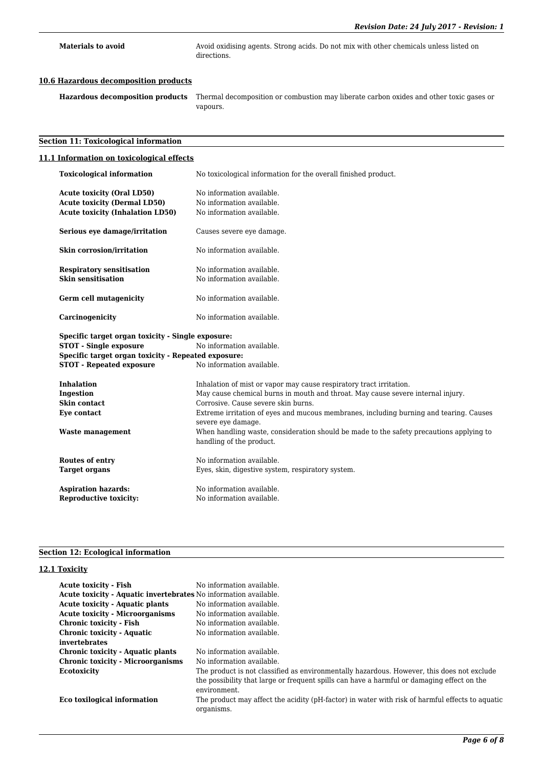**Materials to avoid** Avoid oxidising agents. Strong acids. Do not mix with other chemicals unless listed on directions.

#### **10.6 Hazardous decomposition products**

**Hazardous decomposition products** Thermal decomposition or combustion may liberate carbon oxides and other toxic gases or vapours.

#### **Section 11: Toxicological information**

#### **11.1 Information on toxicological effects**

**Toxicological information** No toxicological information for the overall finished product. Acute toxicity (Oral LD50) No information available. Acute toxicity (Dermal LD50) No information available. Acute toxicity (Inhalation LD50) No information available. **Serious eye damage/irritation** Causes severe eye damage. **Skin corrosion/irritation** No information available. **Respiratory sensitisation** No information available. **Skin sensitisation** No information available. **Germ cell mutagenicity** No information available. **Carcinogenicity** No information available. **Specific target organ toxicity - Single exposure: STOT - Single exposure** No information available. **Specific target organ toxicity - Repeated exposure: STOT - Repeated exposure** No information available. **Inhalation** Inhalation of mist or vapor may cause respiratory tract irritation. **Ingestion** May cause chemical burns in mouth and throat. May cause severe internal injury. **Skin contact** Corrosive. Cause severe skin burns. **Eye contact** Extreme irritation of eyes and mucous membranes, including burning and tearing. Causes severe eye damage. **Waste management** When handling waste, consideration should be made to the safety precautions applying to handling of the product. **Routes of entry** No information available. **Target organs** Eyes, skin, digestive system, respiratory system. Aspiration hazards: No information available. **Reproductive toxicity:** No information available.

#### **Section 12: Ecological information**

#### **12.1 Toxicity**

| No information available.                                                                                     |
|---------------------------------------------------------------------------------------------------------------|
| Acute toxicity - Aquatic invertebrates No information available.                                              |
| No information available.                                                                                     |
| No information available.                                                                                     |
| No information available.                                                                                     |
| No information available.                                                                                     |
|                                                                                                               |
| No information available.                                                                                     |
| No information available.                                                                                     |
| The product is not classified as environmentally hazardous. However, this does not exclude                    |
| the possibility that large or frequent spills can have a harmful or damaging effect on the<br>environment.    |
| The product may affect the acidity (pH-factor) in water with risk of harmful effects to aquatic<br>organisms. |
|                                                                                                               |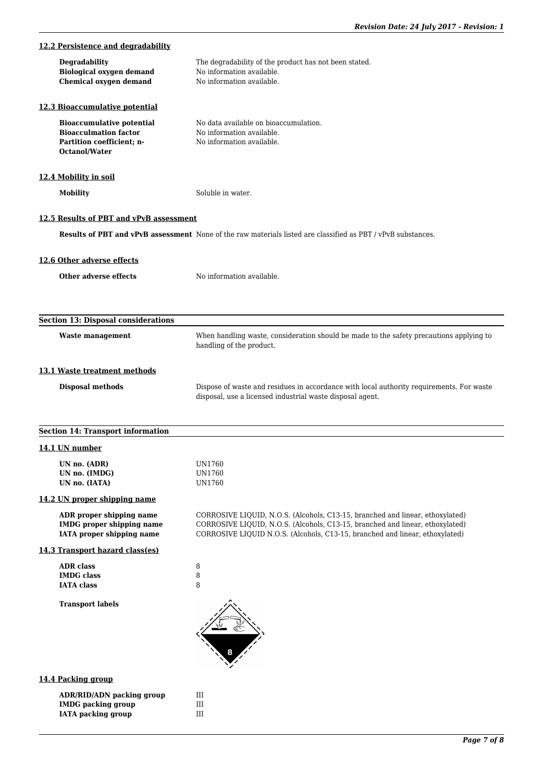| 12.2 Persistence and degradability                                                                             |                                                                                                                                                                                                                                                |
|----------------------------------------------------------------------------------------------------------------|------------------------------------------------------------------------------------------------------------------------------------------------------------------------------------------------------------------------------------------------|
| Degradability<br><b>Biological oxygen demand</b><br><b>Chemical oxygen demand</b>                              | The degradability of the product has not been stated.<br>No information available.<br>No information available.                                                                                                                                |
| 12.3 Bioaccumulative potential                                                                                 |                                                                                                                                                                                                                                                |
| <b>Bioaccumulative potential</b><br><b>Bioacculmation factor</b><br>Partition coefficient; n-<br>Octanol/Water | No data available on bioaccumulation.<br>No information available.<br>No information available.                                                                                                                                                |
| 12.4 Mobility in soil                                                                                          |                                                                                                                                                                                                                                                |
| <b>Mobility</b>                                                                                                | Soluble in water.                                                                                                                                                                                                                              |
| 12.5 Results of PBT and vPvB assessment                                                                        |                                                                                                                                                                                                                                                |
|                                                                                                                | <b>Results of PBT and vPvB assessment</b> None of the raw materials listed are classified as PBT / vPvB substances.                                                                                                                            |
| 12.6 Other adverse effects                                                                                     |                                                                                                                                                                                                                                                |
| <b>Other adverse effects</b>                                                                                   | No information available.                                                                                                                                                                                                                      |
|                                                                                                                |                                                                                                                                                                                                                                                |
| <b>Section 13: Disposal considerations</b>                                                                     |                                                                                                                                                                                                                                                |
| <b>Waste management</b>                                                                                        | When handling waste, consideration should be made to the safety precautions applying to<br>handling of the product.                                                                                                                            |
| 13.1 Waste treatment methods                                                                                   |                                                                                                                                                                                                                                                |
| <b>Disposal methods</b>                                                                                        | Dispose of waste and residues in accordance with local authority requirements. For waste<br>disposal, use a licensed industrial waste disposal agent.                                                                                          |
| <b>Section 14: Transport information</b>                                                                       |                                                                                                                                                                                                                                                |
| 14.1 UN number                                                                                                 |                                                                                                                                                                                                                                                |
| UN no. (ADR)<br>UN no. (IMDG)<br>UN no. (IATA)                                                                 | UN1760<br>UN1760<br>UN1760                                                                                                                                                                                                                     |
| 14.2 UN proper shipping name                                                                                   |                                                                                                                                                                                                                                                |
| ADR proper shipping name<br><b>IMDG</b> proper shipping name<br><b>IATA</b> proper shipping name               | CORROSIVE LIQUID, N.O.S. (Alcohols, C13-15, branched and linear, ethoxylated)<br>CORROSIVE LIQUID, N.O.S. (Alcohols, C13-15, branched and linear, ethoxylated)<br>CORROSIVE LIQUID N.O.S. (Alcohols, C13-15, branched and linear, ethoxylated) |
| 14.3 Transport hazard class(es)                                                                                |                                                                                                                                                                                                                                                |
| <b>ADR</b> class<br><b>IMDG</b> class<br><b>IATA</b> class                                                     | $\, 8$<br>$\, 8$<br>8                                                                                                                                                                                                                          |
| <b>Transport labels</b>                                                                                        |                                                                                                                                                                                                                                                |
| 14.4 Packing group                                                                                             |                                                                                                                                                                                                                                                |
| <b>ADR/RID/ADN packing group</b><br><b>IMDG</b> packing group<br><b>IATA</b> packing group                     | $\rm III$<br>$\rm III$<br>$\rm III$                                                                                                                                                                                                            |